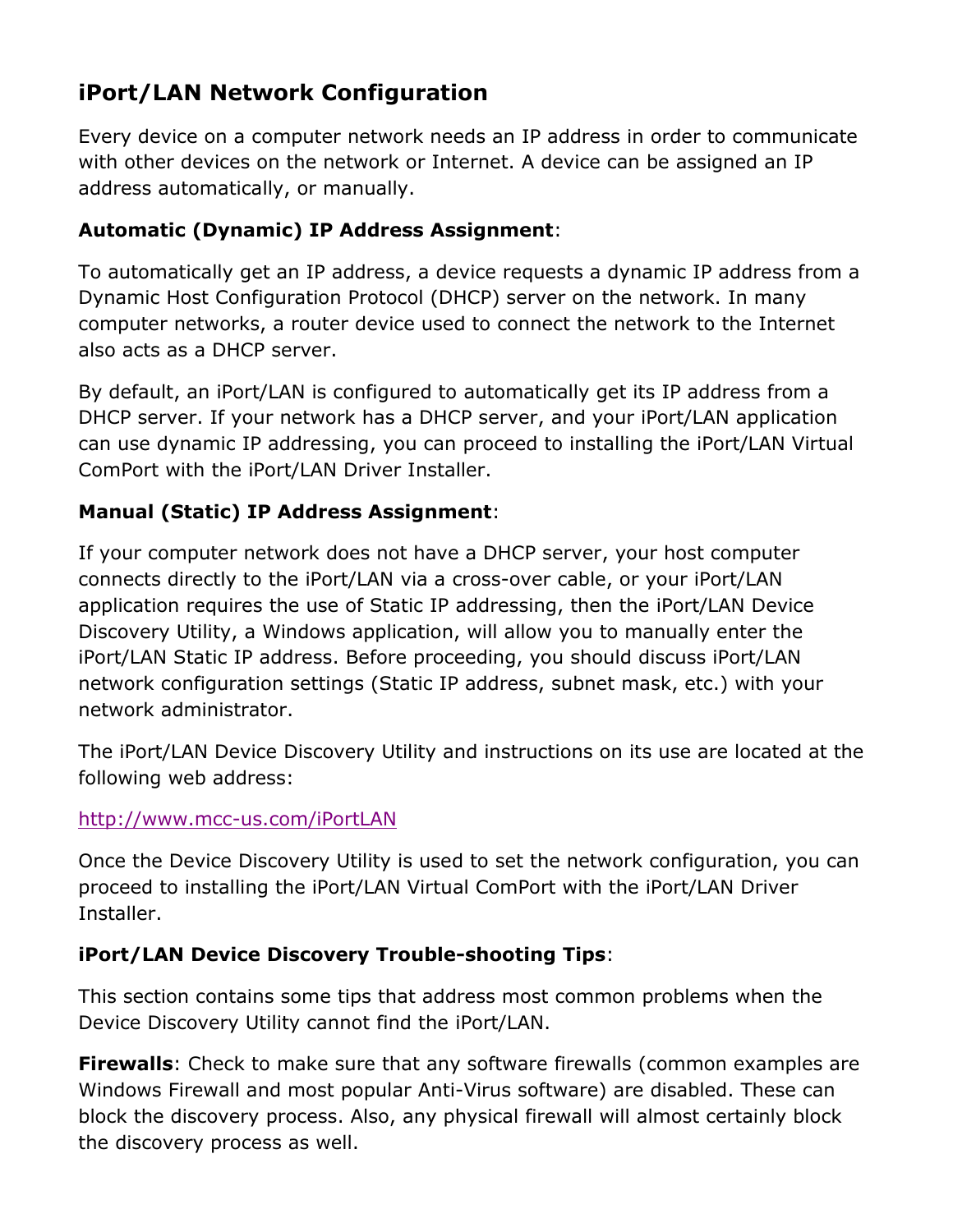# **iPort/LAN Network Configuration**

Every device on a computer network needs an IP address in order to communicate with other devices on the network or Internet. A device can be assigned an IP address automatically, or manually.

## **Automatic (Dynamic) IP Address Assignment**:

To automatically get an IP address, a device requests a dynamic IP address from a Dynamic Host Configuration Protocol (DHCP) server on the network. In many computer networks, a router device used to connect the network to the Internet also acts as a DHCP server.

By default, an iPort/LAN is configured to automatically get its IP address from a DHCP server. If your network has a DHCP server, and your iPort/LAN application can use dynamic IP addressing, you can proceed to installing the iPort/LAN Virtual ComPort with the iPort/LAN Driver Installer.

### **Manual (Static) IP Address Assignment**:

If your computer network does not have a DHCP server, your host computer connects directly to the iPort/LAN via a cross-over cable, or your iPort/LAN application requires the use of Static IP addressing, then the iPort/LAN Device Discovery Utility, a Windows application, will allow you to manually enter the iPort/LAN Static IP address. Before proceeding, you should discuss iPort/LAN network configuration settings (Static IP address, subnet mask, etc.) with your network administrator.

The iPort/LAN Device Discovery Utility and instructions on its use are located at the following web address:

#### <http://www.mcc-us.com/iPortLAN>

Once the Device Discovery Utility is used to set the network configuration, you can proceed to installing the iPort/LAN Virtual ComPort with the iPort/LAN Driver Installer.

#### **iPort/LAN Device Discovery Trouble-shooting Tips**:

This section contains some tips that address most common problems when the Device Discovery Utility cannot find the iPort/LAN.

**Firewalls**: Check to make sure that any software firewalls (common examples are Windows Firewall and most popular Anti-Virus software) are disabled. These can block the discovery process. Also, any physical firewall will almost certainly block the discovery process as well.